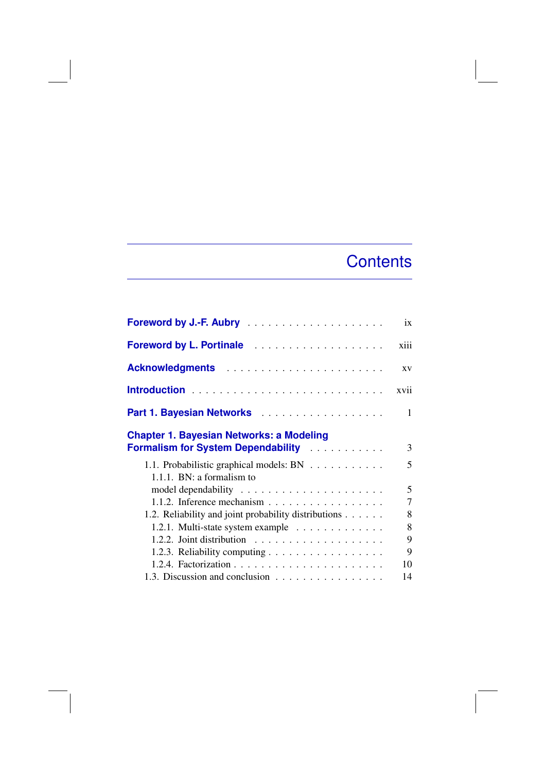## **Contents**

| Foreword by J.-F. Aubry                                                               | ix             |
|---------------------------------------------------------------------------------------|----------------|
| <b>Foreword by L. Portinale</b>                                                       | xiii           |
| Acknowledgments                                                                       | <b>XV</b>      |
|                                                                                       | xvii           |
|                                                                                       | $\mathbf{1}$   |
| <b>Chapter 1. Bayesian Networks: a Modeling</b><br>Formalism for System Dependability | 3              |
| 1.1. Probabilistic graphical models: BN<br>1.1.1. BN: a formalism to                  | 5              |
|                                                                                       | 5              |
|                                                                                       | $\overline{7}$ |
| 1.2. Reliability and joint probability distributions                                  | 8              |
| 1.2.1. Multi-state system example                                                     | 8              |
| 1.2.2. Joint distribution $\ldots \ldots \ldots \ldots \ldots$                        | 9              |
| 1.2.3. Reliability computing                                                          | 9              |
|                                                                                       | 10             |
| 1.3. Discussion and conclusion                                                        | 14             |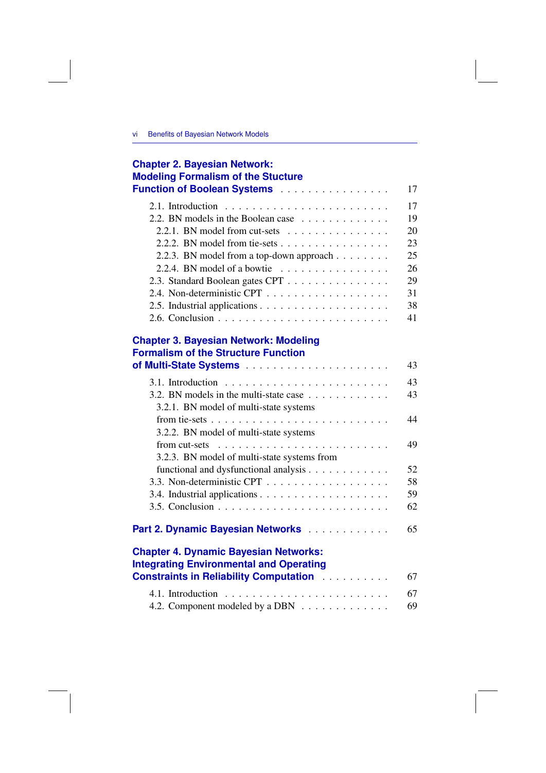| <b>Chapter 2. Bayesian Network:</b><br><b>Modeling Formalism of the Stucture</b>                                                                               |    |
|----------------------------------------------------------------------------------------------------------------------------------------------------------------|----|
| Function of Boolean Systems                                                                                                                                    | 17 |
|                                                                                                                                                                | 17 |
| 2.2. BN models in the Boolean case $\dots \dots \dots \dots$                                                                                                   | 19 |
| 2.2.1. BN model from cut-sets $\ldots \ldots \ldots \ldots$                                                                                                    | 20 |
|                                                                                                                                                                | 23 |
| 2.2.3. BN model from a top-down approach                                                                                                                       | 25 |
| 2.2.4. BN model of a bowtie $\ldots \ldots \ldots \ldots \ldots$                                                                                               | 26 |
| 2.3. Standard Boolean gates CPT                                                                                                                                | 29 |
|                                                                                                                                                                | 31 |
|                                                                                                                                                                | 38 |
|                                                                                                                                                                | 41 |
| <b>Chapter 3. Bayesian Network: Modeling</b><br><b>Formalism of the Structure Function</b>                                                                     | 43 |
|                                                                                                                                                                | 43 |
| 3.2. BN models in the multi-state case $\dots \dots \dots \dots$<br>3.2.1. BN model of multi-state systems                                                     | 43 |
| 3.2.2. BN model of multi-state systems                                                                                                                         | 44 |
| from cut-sets $\dots \dots \dots \dots \dots \dots \dots \dots \dots \dots$<br>3.2.3. BN model of multi-state systems from                                     | 49 |
| functional and dysfunctional analysis                                                                                                                          | 52 |
|                                                                                                                                                                | 58 |
|                                                                                                                                                                | 59 |
|                                                                                                                                                                | 62 |
| Part 2. Dynamic Bayesian Networks                                                                                                                              | 65 |
| <b>Chapter 4. Dynamic Bayesian Networks:</b><br><b>Integrating Environmental and Operating</b><br><b>Constraints in Reliability Computation Administration</b> | 67 |
|                                                                                                                                                                |    |
| 4.1. Introduction                                                                                                                                              | 67 |
| 4.2. Component modeled by a DBN                                                                                                                                | 69 |